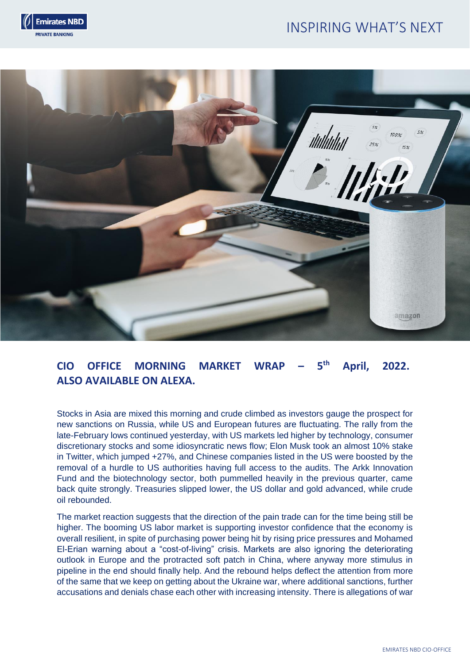# INSPIRING WHAT'S NEXT





# **CIO OFFICE MORNING MARKET WRAP – 5 th April, 2022. ALSO AVAILABLE ON ALEXA.**

Stocks in Asia are mixed this morning and crude climbed as investors gauge the prospect for new sanctions on Russia, while US and European futures are fluctuating. The rally from the late-February lows continued yesterday, with US markets led higher by technology, consumer discretionary stocks and some idiosyncratic news flow; Elon Musk took an almost 10% stake in Twitter, which jumped +27%, and Chinese companies listed in the US were boosted by the removal of a hurdle to US authorities having full access to the audits. The Arkk Innovation Fund and the biotechnology sector, both pummelled heavily in the previous quarter, came back quite strongly. Treasuries slipped lower, the US dollar and gold advanced, while crude oil rebounded.

The market reaction suggests that the direction of the pain trade can for the time being still be higher. The booming US labor market is supporting investor confidence that the economy is overall resilient, in spite of purchasing power being hit by rising price pressures and Mohamed El-Erian warning about a "cost-of-living" crisis. Markets are also ignoring the deteriorating outlook in Europe and the protracted soft patch in China, where anyway more stimulus in pipeline in the end should finally help. And the rebound helps deflect the attention from more of the same that we keep on getting about the Ukraine war, where additional sanctions, further accusations and denials chase each other with increasing intensity. There is allegations of war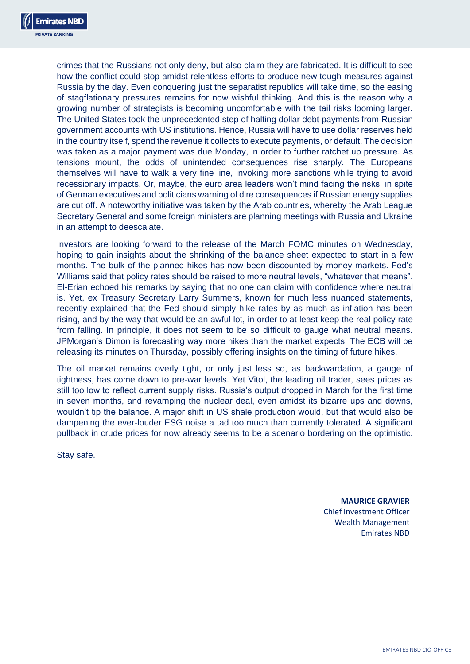

crimes that the Russians not only deny, but also claim they are fabricated. It is difficult to see how the conflict could stop amidst relentless efforts to produce new tough measures against Russia by the day. Even conquering just the separatist republics will take time, so the easing of stagflationary pressures remains for now wishful thinking. And this is the reason why a growing number of strategists is becoming uncomfortable with the tail risks looming larger. The United States took the unprecedented step of halting dollar debt payments from Russian government accounts with US institutions. Hence, Russia will have to use dollar reserves held in the country itself, spend the revenue it collects to execute payments, or default. The decision was taken as a major payment was due Monday, in order to further ratchet up pressure. As tensions mount, the odds of unintended consequences rise sharply. The Europeans themselves will have to walk a very fine line, invoking more sanctions while trying to avoid recessionary impacts. Or, maybe, the euro area leaders won't mind facing the risks, in spite of German executives and politicians warning of dire consequences if Russian energy supplies are cut off. A noteworthy initiative was taken by the Arab countries, whereby the Arab League Secretary General and some foreign ministers are planning meetings with Russia and Ukraine in an attempt to deescalate.

Investors are looking forward to the release of the March FOMC minutes on Wednesday, hoping to gain insights about the shrinking of the balance sheet expected to start in a few months. The bulk of the planned hikes has now been discounted by money markets. Fed's Williams said that policy rates should be raised to more neutral levels, "whatever that means". El-Erian echoed his remarks by saying that no one can claim with confidence where neutral is. Yet, ex Treasury Secretary Larry Summers, known for much less nuanced statements, recently explained that the Fed should simply hike rates by as much as inflation has been rising, and by the way that would be an awful lot, in order to at least keep the real policy rate from falling. In principle, it does not seem to be so difficult to gauge what neutral means. JPMorgan's Dimon is forecasting way more hikes than the market expects. The ECB will be releasing its minutes on Thursday, possibly offering insights on the timing of future hikes.

The oil market remains overly tight, or only just less so, as backwardation, a gauge of tightness, has come down to pre-war levels. Yet Vitol, the leading oil trader, sees prices as still too low to reflect current supply risks. Russia's output dropped in March for the first time in seven months, and revamping the nuclear deal, even amidst its bizarre ups and downs, wouldn't tip the balance. A major shift in US shale production would, but that would also be dampening the ever-louder ESG noise a tad too much than currently tolerated. A significant pullback in crude prices for now already seems to be a scenario bordering on the optimistic.

Stay safe.

**MAURICE GRAVIER** Chief Investment Officer Wealth Management Emirates NBD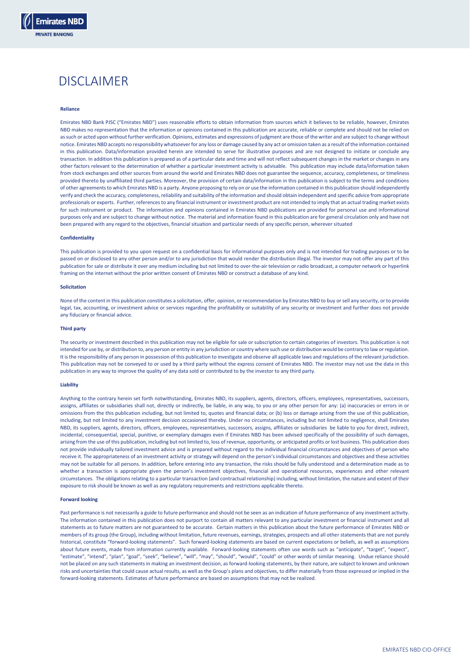

# DISCLAIMER

# **Reliance**

Emirates NBD Bank PJSC ("Emirates NBD") uses reasonable efforts to obtain information from sources which it believes to be reliable, however, Emirates NBD makes no representation that the information or opinions contained in this publication are accurate, reliable or complete and should not be relied on as such or acted upon without further verification. Opinions, estimates and expressions of judgment are those of the writer and are subject to change without notice. Emirates NBD accepts no responsibility whatsoever for any loss or damage caused by any act or omission taken as a result of the information contained in this publication. Data/information provided herein are intended to serve for illustrative purposes and are not designed to initiate or conclude any transaction. In addition this publication is prepared as of a particular date and time and will not reflect subsequent changes in the market or changes in any other factors relevant to the determination of whether a particular investment activity is advisable. This publication may include data/information taken from stock exchanges and other sources from around the world and Emirates NBD does not guarantee the sequence, accuracy, completeness, or timeliness provided thereto by unaffiliated third parties. Moreover, the provision of certain data/information in this publication is subject to the terms and conditions of other agreements to which Emirates NBD is a party. Anyone proposing to rely on or use the information contained in this publication should independently verify and check the accuracy, completeness, reliability and suitability of the information and should obtain independent and specific advice from appropriate professionals or experts. Further, references to any financial instrument or investment product are not intended to imply that an actual trading market exists for such instrument or product. The information and opinions contained in Emirates NBD publications are provided for personal use and informational purposes only and are subject to change without notice. The material and information found in this publication are for general circulation only and have not been prepared with any regard to the objectives, financial situation and particular needs of any specific person, wherever situated

# **Confidentiality**

This publication is provided to you upon request on a confidential basis for informational purposes only and is not intended for trading purposes or to be passed on or disclosed to any other person and/or to any jurisdiction that would render the distribution illegal. The investor may not offer any part of this publication for sale or distribute it over any medium including but not limited to over-the-air television or radio broadcast, a computer network or hyperlink framing on the internet without the prior written consent of Emirates NBD or construct a database of any kind.

#### **Solicitation**

None of the content in this publication constitutes a solicitation, offer, opinion, or recommendation by Emirates NBD to buy or sell any security, or to provide legal, tax, accounting, or investment advice or services regarding the profitability or suitability of any security or investment and further does not provide any fiduciary or financial advice.

#### **Third party**

The security or investment described in this publication may not be eligible for sale or subscription to certain categories of investors. This publication is not intended for use by, or distribution to, any person or entity in any jurisdiction or country where such use or distribution would be contrary to law or regulation. It is the responsibility of any person in possession of this publication to investigate and observe all applicable laws and regulations of the relevant jurisdiction. This publication may not be conveyed to or used by a third party without the express consent of Emirates NBD. The investor may not use the data in this publication in any way to improve the quality of any data sold or contributed to by the investor to any third party.

#### **Liability**

Anything to the contrary herein set forth notwithstanding, Emirates NBD, its suppliers, agents, directors, officers, employees, representatives, successors, assigns, affiliates or subsidiaries shall not, directly or indirectly, be liable, in any way, to you or any other person for any: (a) inaccuracies or errors in or omissions from the this publication including, but not limited to, quotes and financial data; or (b) loss or damage arising from the use of this publication, including, but not limited to any investment decision occasioned thereby. Under no circumstances, including but not limited to negligence, shall Emirates NBD, its suppliers, agents, directors, officers, employees, representatives, successors, assigns, affiliates or subsidiaries be liable to you for direct, indirect, incidental, consequential, special, punitive, or exemplary damages even if Emirates NBD has been advised specifically of the possibility of such damages, arising from the use of this publication, including but not limited to, loss of revenue, opportunity, or anticipated profits or lost business. This publication does not provide individually tailored investment advice and is prepared without regard to the individual financial circumstances and objectives of person who receive it. The appropriateness of an investment activity or strategy will depend on the person's individual circumstances and objectives and these activities may not be suitable for all persons. In addition, before entering into any transaction, the risks should be fully understood and a determination made as to whether a transaction is appropriate given the person's investment objectives, financial and operational resources, experiences and other relevant circumstances. The obligations relating to a particular transaction (and contractual relationship) including, without limitation, the nature and extent of their exposure to risk should be known as well as any regulatory requirements and restrictions applicable thereto.

### **Forward looking**

Past performance is not necessarily a guide to future performance and should not be seen as an indication of future performance of any investment activity. The information contained in this publication does not purport to contain all matters relevant to any particular investment or financial instrument and all statements as to future matters are not guaranteed to be accurate. Certain matters in this publication about the future performance of Emirates NBD or members of its group (the Group), including without limitation, future revenues, earnings, strategies, prospects and all other statements that are not purely historical, constitute "forward-looking statements". Such forward-looking statements are based on current expectations or beliefs, as well as assumptions about future events, made from information currently available. Forward-looking statements often use words such as "anticipate", "target", "expect", "estimate", "intend", "plan", "goal", "seek", "believe", "will", "may", "should", "would", "could" or other words of similar meaning. Undue reliance should not be placed on any such statements in making an investment decision, as forward-looking statements, by their nature, are subject to known and unknown risks and uncertainties that could cause actual results, as well as the Group's plans and objectives, to differ materially from those expressed or implied in the forward-looking statements. Estimates of future performance are based on assumptions that may not be realized.